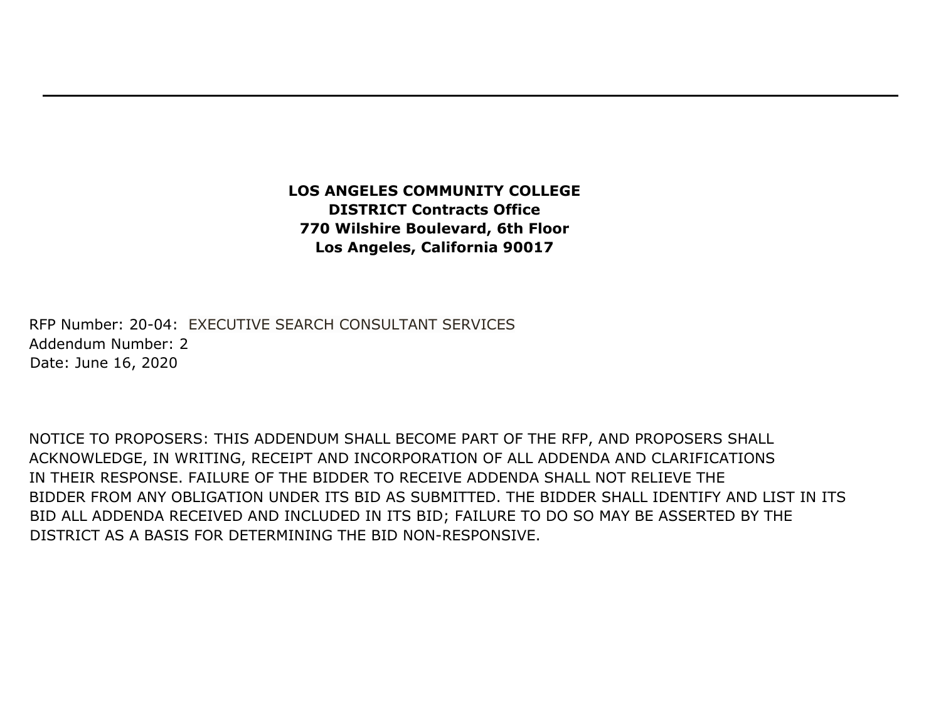## **LOS ANGELES COMMUNITY COLLEGE DISTRICT Contracts Office 770 Wilshire Boulevard, 6th Floor Los Angeles, California 90017**

RFP Number: 20-04: EXECUTIVE SEARCH CONSULTANT SERVICES Addendum Number: 2 Date: June 16, 2020

NOTICE TO PROPOSERS: THIS ADDENDUM SHALL BECOME PART OF THE RFP, AND PROPOSERS SHALL ACKNOWLEDGE, IN WRITING, RECEIPT AND INCORPORATION OF ALL ADDENDA AND CLARIFICATIONS IN THEIR RESPONSE. FAILURE OF THE BIDDER TO RECEIVE ADDENDA SHALL NOT RELIEVE THE BIDDER FROM ANY OBLIGATION UNDER ITS BID AS SUBMITTED. THE BIDDER SHALL IDENTIFY AND LIST IN ITS BID ALL ADDENDA RECEIVED AND INCLUDED IN ITS BID; FAILURE TO DO SO MAY BE ASSERTED BY THE DISTRICT AS A BASIS FOR DETERMINING THE BID NON-RESPONSIVE.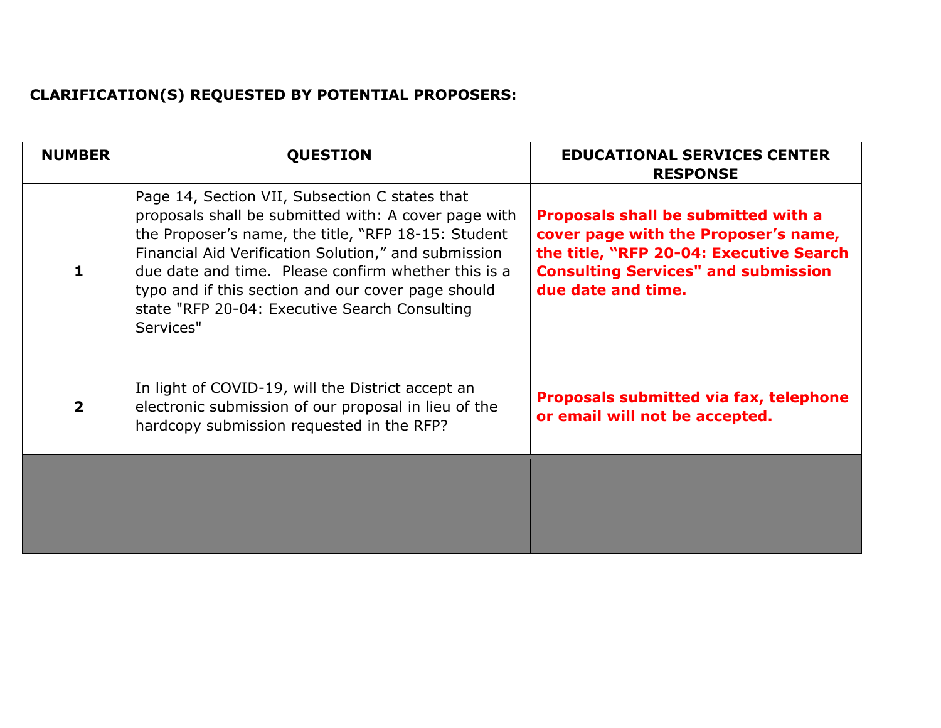## **CLARIFICATION(S) REQUESTED BY POTENTIAL PROPOSERS:**

| <b>NUMBER</b>  | <b>QUESTION</b>                                                                                                                                                                                                                                                                                                                                                                                  | <b>EDUCATIONAL SERVICES CENTER</b><br><b>RESPONSE</b>                                                                                                                                      |
|----------------|--------------------------------------------------------------------------------------------------------------------------------------------------------------------------------------------------------------------------------------------------------------------------------------------------------------------------------------------------------------------------------------------------|--------------------------------------------------------------------------------------------------------------------------------------------------------------------------------------------|
| $\mathbf{1}$   | Page 14, Section VII, Subsection C states that<br>proposals shall be submitted with: A cover page with<br>the Proposer's name, the title, "RFP 18-15: Student<br>Financial Aid Verification Solution," and submission<br>due date and time. Please confirm whether this is a<br>typo and if this section and our cover page should<br>state "RFP 20-04: Executive Search Consulting<br>Services" | Proposals shall be submitted with a<br>cover page with the Proposer's name,<br>the title, "RFP 20-04: Executive Search<br><b>Consulting Services" and submission</b><br>due date and time. |
| $\overline{2}$ | In light of COVID-19, will the District accept an<br>electronic submission of our proposal in lieu of the<br>hardcopy submission requested in the RFP?                                                                                                                                                                                                                                           | <b>Proposals submitted via fax, telephone</b><br>or email will not be accepted.                                                                                                            |
|                |                                                                                                                                                                                                                                                                                                                                                                                                  |                                                                                                                                                                                            |